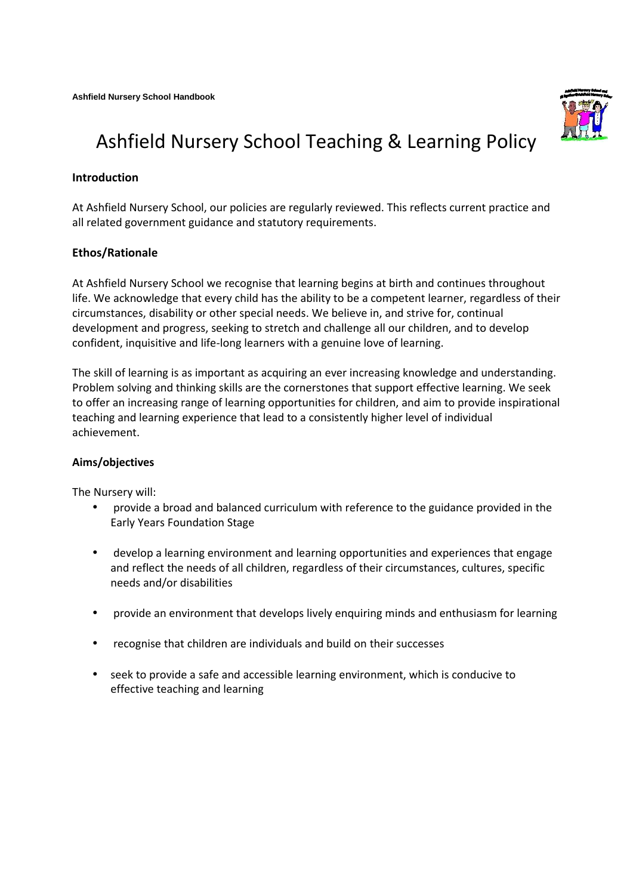

# Ashfield Nursery School Teaching & Learning Policy

# **Introduction**

At Ashfield Nursery School, our policies are regularly reviewed. This reflects current practice and all related government guidance and statutory requirements.

## **Ethos/Rationale**

At Ashfield Nursery School we recognise that learning begins at birth and continues throughout life. We acknowledge that every child has the ability to be a competent learner, regardless of their circumstances, disability or other special needs. We believe in, and strive for, continual development and progress, seeking to stretch and challenge all our children, and to develop confident, inquisitive and life-long learners with a genuine love of learning.

The skill of learning is as important as acquiring an ever increasing knowledge and understanding. Problem solving and thinking skills are the cornerstones that support effective learning. We seek to offer an increasing range of learning opportunities for children, and aim to provide inspirational teaching and learning experience that lead to a consistently higher level of individual achievement.

## **Aims/objectives**

The Nursery will:

- provide a broad and balanced curriculum with reference to the guidance provided in the Early Years Foundation Stage
- develop a learning environment and learning opportunities and experiences that engage and reflect the needs of all children, regardless of their circumstances, cultures, specific needs and/or disabilities
- provide an environment that develops lively enquiring minds and enthusiasm for learning
- recognise that children are individuals and build on their successes
- seek to provide a safe and accessible learning environment, which is conducive to effective teaching and learning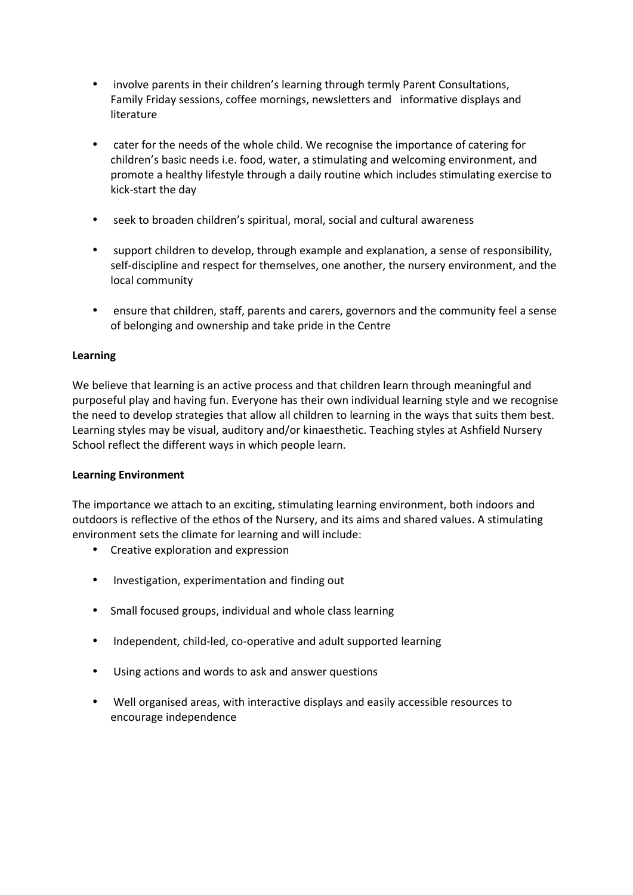- involve parents in their children's learning through termly Parent Consultations, Family Friday sessions, coffee mornings, newsletters and informative displays and literature
- cater for the needs of the whole child. We recognise the importance of catering for children's basic needs i.e. food, water, a stimulating and welcoming environment, and promote a healthy lifestyle through a daily routine which includes stimulating exercise to kick-start the day
- seek to broaden children's spiritual, moral, social and cultural awareness
- support children to develop, through example and explanation, a sense of responsibility, self-discipline and respect for themselves, one another, the nursery environment, and the local community
- ensure that children, staff, parents and carers, governors and the community feel a sense of belonging and ownership and take pride in the Centre

## **Learning**

We believe that learning is an active process and that children learn through meaningful and purposeful play and having fun. Everyone has their own individual learning style and we recognise the need to develop strategies that allow all children to learning in the ways that suits them best. Learning styles may be visual, auditory and/or kinaesthetic. Teaching styles at Ashfield Nursery School reflect the different ways in which people learn.

## **Learning Environment**

The importance we attach to an exciting, stimulating learning environment, both indoors and outdoors is reflective of the ethos of the Nursery, and its aims and shared values. A stimulating environment sets the climate for learning and will include:

- Creative exploration and expression
- Investigation, experimentation and finding out
- Small focused groups, individual and whole class learning
- Independent, child-led, co-operative and adult supported learning
- Using actions and words to ask and answer questions
- Well organised areas, with interactive displays and easily accessible resources to encourage independence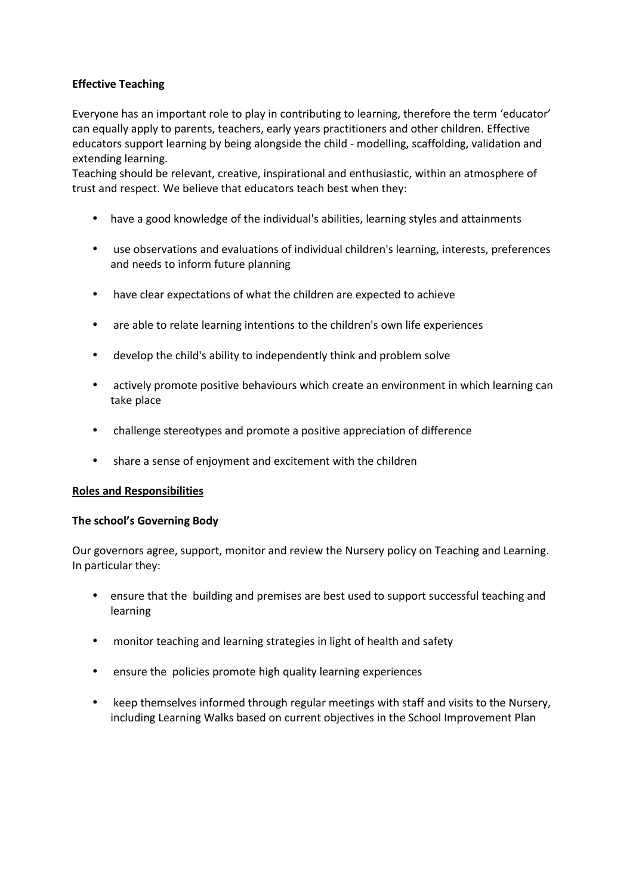## **Effective Teaching**

Everyone has an important role to play in contributing to learning, therefore the term 'educator' can equally apply to parents, teachers, early years practitioners and other children. Effective educators support learning by being alongside the child - modelling, scaffolding, validation and extending learning.

Teaching should be relevant, creative, inspirational and enthusiastic, within an atmosphere of trust and respect. We believe that educators teach best when they:

- have a good knowledge of the individual's abilities, learning styles and attainments
- use observations and evaluations of individual children's learning, interests, preferences and needs to inform future planning
- have clear expectations of what the children are expected to achieve
- are able to relate learning intentions to the children's own life experiences
- develop the child's ability to independently think and problem solve
- actively promote positive behaviours which create an environment in which learning can take place
- challenge stereotypes and promote a positive appreciation of difference
- share a sense of enjoyment and excitement with the children

## **Roles and Responsibilities**

#### **The school's Governing Body**

Our governors agree, support, monitor and review the Nursery policy on Teaching and Learning. In particular they:

- ensure that the building and premises are best used to support successful teaching and learning
- monitor teaching and learning strategies in light of health and safety
- ensure the policies promote high quality learning experiences
- keep themselves informed through regular meetings with staff and visits to the Nursery, including Learning Walks based on current objectives in the School Improvement Plan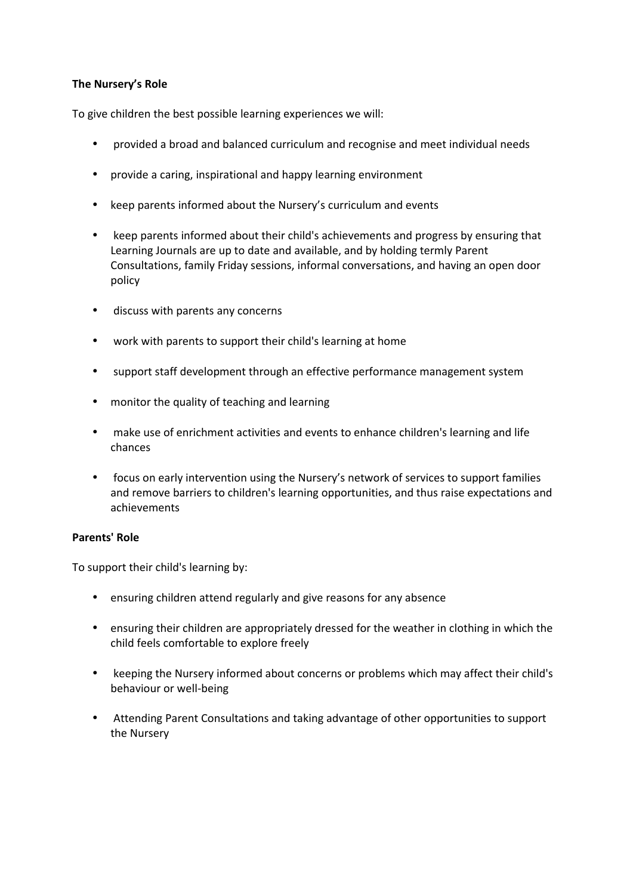## **The Nursery's Role**

To give children the best possible learning experiences we will:

- provided a broad and balanced curriculum and recognise and meet individual needs
- provide a caring, inspirational and happy learning environment
- keep parents informed about the Nursery's curriculum and events
- keep parents informed about their child's achievements and progress by ensuring that Learning Journals are up to date and available, and by holding termly Parent Consultations, family Friday sessions, informal conversations, and having an open door policy
- discuss with parents any concerns
- work with parents to support their child's learning at home
- support staff development through an effective performance management system
- monitor the quality of teaching and learning
- make use of enrichment activities and events to enhance children's learning and life chances
- focus on early intervention using the Nursery's network of services to support families and remove barriers to children's learning opportunities, and thus raise expectations and achievements

## **Parents' Role**

To support their child's learning by:

- ensuring children attend regularly and give reasons for any absence
- ensuring their children are appropriately dressed for the weather in clothing in which the child feels comfortable to explore freely
- keeping the Nursery informed about concerns or problems which may affect their child's behaviour or well-being
- Attending Parent Consultations and taking advantage of other opportunities to support the Nursery